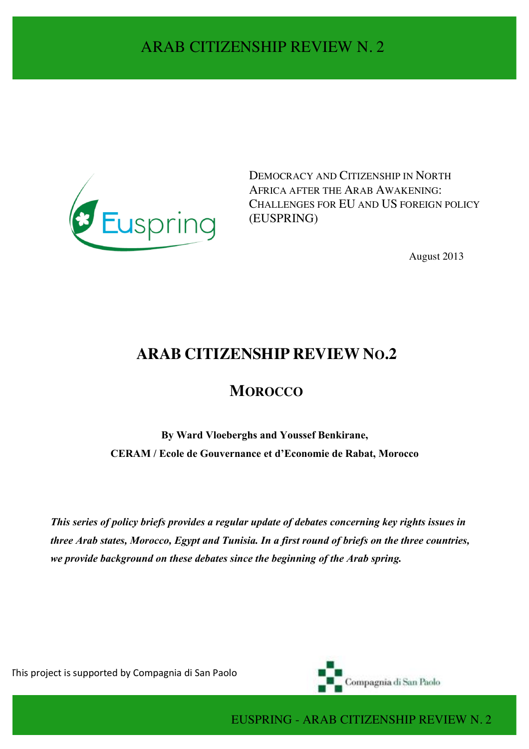

DEMOCRACY AND CITIZENSHIP IN NORTH AFRICA AFTER THE ARAB AWAKENING: CHALLENGES FOR EU AND US FOREIGN POLICY (EUSPRING)

August 2013

# **ARAB CITIZENSHIP REVIEW NO.2**

## **MOROCCO**

**By Ward Vloeberghs and Youssef Benkirane, CERAM / Ecole de Gouvernance et d'Economie de Rabat, Morocco**

*This series of policy briefs provides a regular update of debates concerning key rights issues in three Arab states, Morocco, Egypt and Tunisia. In a first round of briefs on the three countries, we provide background on these debates since the beginning of the Arab spring.*

This project is supported by Compagnia di San Paolo



EUSPRING - ARAB CITIZENSHIP REVIEW N. 2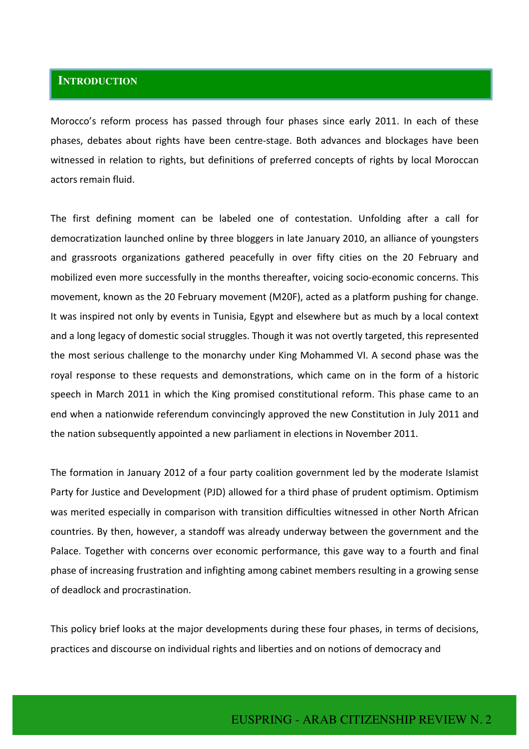## **INTRODUCTION**

Morocco's reform process has passed through four phases since early 2011. In each of these phases, debates about rights have been centre-stage. Both advances and blockages have been witnessed in relation to rights, but definitions of preferred concepts of rights by local Moroccan actors remain fluid.

The first defining moment can be labeled one of contestation. Unfolding after a call for democratization launched online by three bloggers in late January 2010, an alliance of youngsters and grassroots organizations gathered peacefully in over fifty cities on the 20 February and mobilized even more successfully in the months thereafter, voicing socio-economic concerns. This movement, known as the 20 February movement (M20F), acted as a platform pushing for change. It was inspired not only by events in Tunisia, Egypt and elsewhere but as much by a local context and a long legacy of domestic social struggles. Though it was not overtly targeted, this represented the most serious challenge to the monarchy under King Mohammed VI. A second phase was the royal response to these requests and demonstrations, which came on in the form of a historic speech in March 2011 in which the King promised constitutional reform. This phase came to an end when a nationwide referendum convincingly approved the new Constitution in July 2011 and the nation subsequently appointed a new parliament in elections in November 2011.

The formation in January 2012 of a four party coalition government led by the moderate Islamist Party for Justice and Development (PJD) allowed for a third phase of prudent optimism. Optimism was merited especially in comparison with transition difficulties witnessed in other North African countries. By then, however, a standoff was already underway between the government and the Palace. Together with concerns over economic performance, this gave way to a fourth and final phase of increasing frustration and infighting among cabinet members resulting in a growing sense of deadlock and procrastination.

This policy brief looks at the major developments during these four phases, in terms of decisions, practices and discourse on individual rights and liberties and on notions of democracy and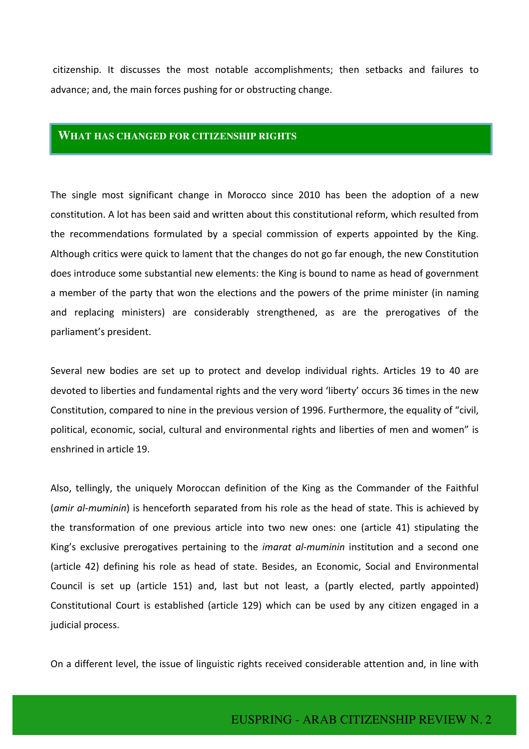citizenship. It discusses the most notable accomplishments; then setbacks and failures to advance; and, the main forces pushing for or obstructing change.

#### **WHAT HAS CHANGED FOR CITIZENSHIP RIGHTS**

The single most significant change in Morocco since 2010 has been the adoption of a new constitution. A lot has been said and written about this constitutional reform, which resulted from the recommendations formulated by a special commission of experts appointed by the King. Although critics were quick to lament that the changes do not go far enough, the new Constitution does introduce some substantial new elements: the King is bound to name as head of government a member of the party that won the elections and the powers of the prime minister (in naming and replacing ministers) are considerably strengthened, as are the prerogatives of the parliament's president.

Several new bodies are set up to protect and develop individual rights. Articles 19 to 40 are devoted to liberties and fundamental rights and the very word 'liberty' occurs 36 times in the new Constitution, compared to nine in the previous version of 1996. Furthermore, the equality of "civil, political, economic, social, cultural and environmental rights and liberties of men and women" is enshrined in article 19.

Also, tellingly, the uniquely Moroccan definition of the King as the Commander of the Faithful (*amir al-muminin*) is henceforth separated from his role as the head of state. This is achieved by the transformation of one previous article into two new ones: one (article 41) stipulating the King's exclusive prerogatives pertaining to the *imarat al-muminin* institution and a second one (article 42) defining his role as head of state. Besides, an Economic, Social and Environmental Council is set up (article 151) and, last but not least, a (partly elected, partly appointed) Constitutional Court is established (article 129) which can be used by any citizen engaged in a judicial process.

On a different level, the issue of linguistic rights received considerable attention and, in line with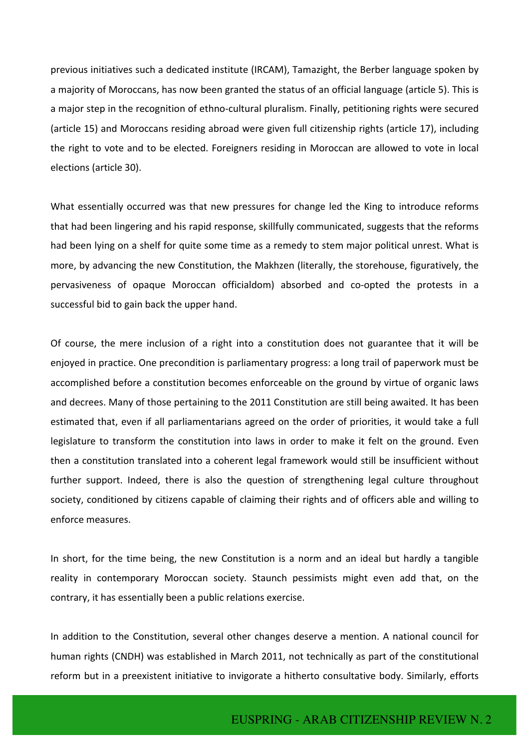previous initiatives such a dedicated institute (IRCAM), Tamazight, the Berber language spoken by a majority of Moroccans, has now been granted the status of an official language (article 5). This is a major step in the recognition of ethno-cultural pluralism. Finally, petitioning rights were secured (article 15) and Moroccans residing abroad were given full citizenship rights (article 17), including the right to vote and to be elected. Foreigners residing in Moroccan are allowed to vote in local elections (article 30).

What essentially occurred was that new pressures for change led the King to introduce reforms that had been lingering and his rapid response, skillfully communicated, suggests that the reforms had been lying on a shelf for quite some time as a remedy to stem major political unrest. What is more, by advancing the new Constitution, the Makhzen (literally, the storehouse, figuratively, the pervasiveness of opaque Moroccan officialdom) absorbed and co-opted the protests in a successful bid to gain back the upper hand.

Of course, the mere inclusion of a right into a constitution does not guarantee that it will be enjoyed in practice. One precondition is parliamentary progress: a long trail of paperwork must be accomplished before a constitution becomes enforceable on the ground by virtue of organic laws and decrees. Many of those pertaining to the 2011 Constitution are still being awaited. It has been estimated that, even if all parliamentarians agreed on the order of priorities, it would take a full legislature to transform the constitution into laws in order to make it felt on the ground. Even then a constitution translated into a coherent legal framework would still be insufficient without further support. Indeed, there is also the question of strengthening legal culture throughout society, conditioned by citizens capable of claiming their rights and of officers able and willing to enforce measures. 

In short, for the time being, the new Constitution is a norm and an ideal but hardly a tangible reality in contemporary Moroccan society. Staunch pessimists might even add that, on the contrary, it has essentially been a public relations exercise.

In addition to the Constitution, several other changes deserve a mention. A national council for human rights (CNDH) was established in March 2011, not technically as part of the constitutional reform but in a preexistent initiative to invigorate a hitherto consultative body. Similarly, efforts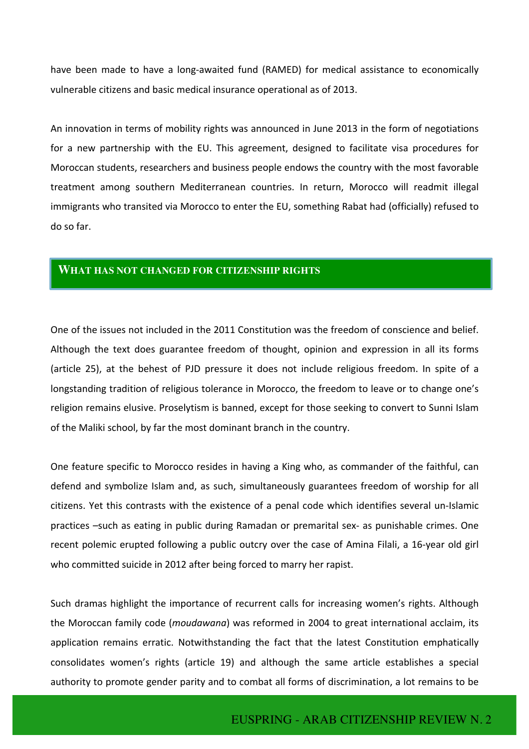have been made to have a long-awaited fund (RAMED) for medical assistance to economically vulnerable citizens and basic medical insurance operational as of 2013.

An innovation in terms of mobility rights was announced in June 2013 in the form of negotiations for a new partnership with the EU. This agreement, designed to facilitate visa procedures for Moroccan students, researchers and business people endows the country with the most favorable treatment among southern Mediterranean countries. In return, Morocco will readmit illegal immigrants who transited via Morocco to enter the EU, something Rabat had (officially) refused to do so far.

## **WHAT HAS NOT CHANGED FOR CITIZENSHIP RIGHTS**

One of the issues not included in the 2011 Constitution was the freedom of conscience and belief. Although the text does guarantee freedom of thought, opinion and expression in all its forms (article 25), at the behest of PJD pressure it does not include religious freedom. In spite of a longstanding tradition of religious tolerance in Morocco, the freedom to leave or to change one's religion remains elusive. Proselytism is banned, except for those seeking to convert to Sunni Islam of the Maliki school, by far the most dominant branch in the country.

One feature specific to Morocco resides in having a King who, as commander of the faithful, can defend and symbolize Islam and, as such, simultaneously guarantees freedom of worship for all citizens. Yet this contrasts with the existence of a penal code which identifies several un-Islamic practices -such as eating in public during Ramadan or premarital sex- as punishable crimes. One recent polemic erupted following a public outcry over the case of Amina Filali, a 16-year old girl who committed suicide in 2012 after being forced to marry her rapist.

Such dramas highlight the importance of recurrent calls for increasing women's rights. Although the Moroccan family code (*moudawana*) was reformed in 2004 to great international acclaim, its application remains erratic. Notwithstanding the fact that the latest Constitution emphatically consolidates women's rights (article 19) and although the same article establishes a special authority to promote gender parity and to combat all forms of discrimination, a lot remains to be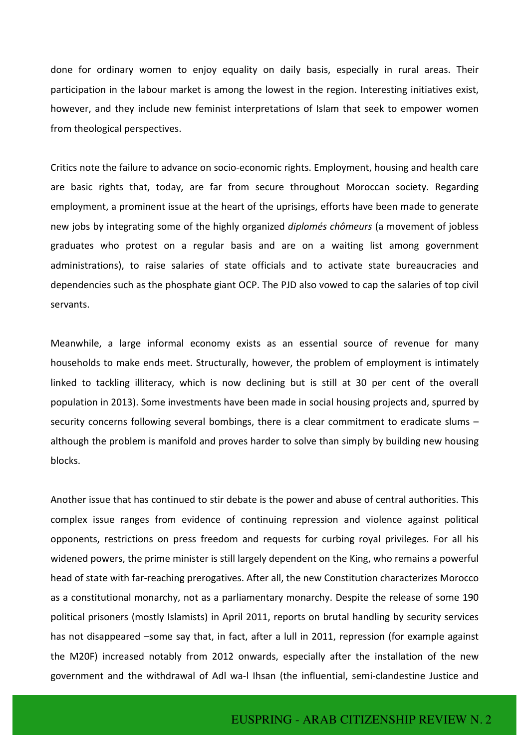done for ordinary women to enjoy equality on daily basis, especially in rural areas. Their participation in the labour market is among the lowest in the region. Interesting initiatives exist, however, and they include new feminist interpretations of Islam that seek to empower women from theological perspectives.

Critics note the failure to advance on socio-economic rights. Employment, housing and health care are basic rights that, today, are far from secure throughout Moroccan society. Regarding employment, a prominent issue at the heart of the uprisings, efforts have been made to generate new jobs by integrating some of the highly organized *diplomés chômeurs* (a movement of jobless graduates who protest on a regular basis and are on a waiting list among government administrations), to raise salaries of state officials and to activate state bureaucracies and dependencies such as the phosphate giant OCP. The PJD also vowed to cap the salaries of top civil servants.

Meanwhile, a large informal economy exists as an essential source of revenue for many households to make ends meet. Structurally, however, the problem of employment is intimately linked to tackling illiteracy, which is now declining but is still at 30 per cent of the overall population in 2013). Some investments have been made in social housing projects and, spurred by security concerns following several bombings, there is a clear commitment to eradicate slums  $$ although the problem is manifold and proves harder to solve than simply by building new housing blocks.

Another issue that has continued to stir debate is the power and abuse of central authorities. This complex issue ranges from evidence of continuing repression and violence against political opponents, restrictions on press freedom and requests for curbing royal privileges. For all his widened powers, the prime minister is still largely dependent on the King, who remains a powerful head of state with far-reaching prerogatives. After all, the new Constitution characterizes Morocco as a constitutional monarchy, not as a parliamentary monarchy. Despite the release of some 190 political prisoners (mostly Islamists) in April 2011, reports on brutal handling by security services has not disappeared -some say that, in fact, after a lull in 2011, repression (for example against the M20F) increased notably from 2012 onwards, especially after the installation of the new government and the withdrawal of Adl wa-l Ihsan (the influential, semi-clandestine Justice and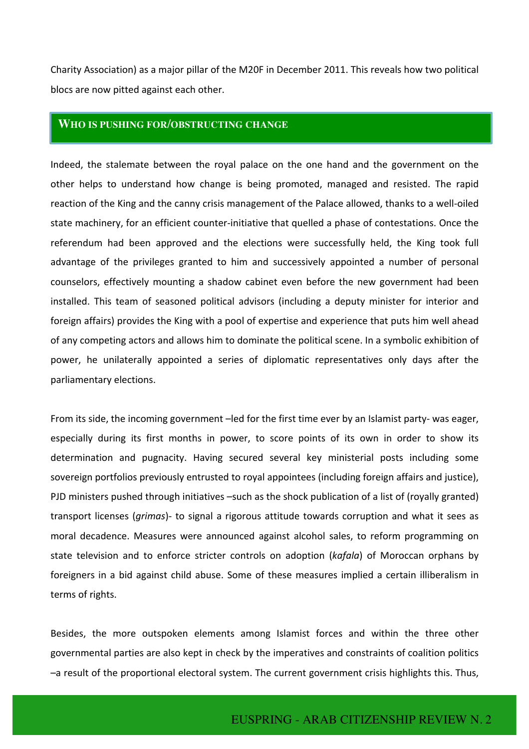Charity Association) as a major pillar of the M20F in December 2011. This reveals how two political blocs are now pitted against each other.

### **WHO IS PUSHING FOR/OBSTRUCTING CHANGE**

Indeed, the stalemate between the royal palace on the one hand and the government on the other helps to understand how change is being promoted, managed and resisted. The rapid reaction of the King and the canny crisis management of the Palace allowed, thanks to a well-oiled state machinery, for an efficient counter-initiative that quelled a phase of contestations. Once the referendum had been approved and the elections were successfully held, the King took full advantage of the privileges granted to him and successively appointed a number of personal counselors, effectively mounting a shadow cabinet even before the new government had been installed. This team of seasoned political advisors (including a deputy minister for interior and foreign affairs) provides the King with a pool of expertise and experience that puts him well ahead of any competing actors and allows him to dominate the political scene. In a symbolic exhibition of power, he unilaterally appointed a series of diplomatic representatives only days after the parliamentary elections.

From its side, the incoming government -led for the first time ever by an Islamist party- was eager, especially during its first months in power, to score points of its own in order to show its determination and pugnacity. Having secured several key ministerial posts including some sovereign portfolios previously entrusted to royal appointees (including foreign affairs and justice), PJD ministers pushed through initiatives -such as the shock publication of a list of (royally granted) transport licenses (*grimas*)- to signal a rigorous attitude towards corruption and what it sees as moral decadence. Measures were announced against alcohol sales, to reform programming on state television and to enforce stricter controls on adoption (*kafala*) of Moroccan orphans by foreigners in a bid against child abuse. Some of these measures implied a certain illiberalism in terms of rights.

Besides, the more outspoken elements among Islamist forces and within the three other governmental parties are also kept in check by the imperatives and constraints of coalition politics -a result of the proportional electoral system. The current government crisis highlights this. Thus,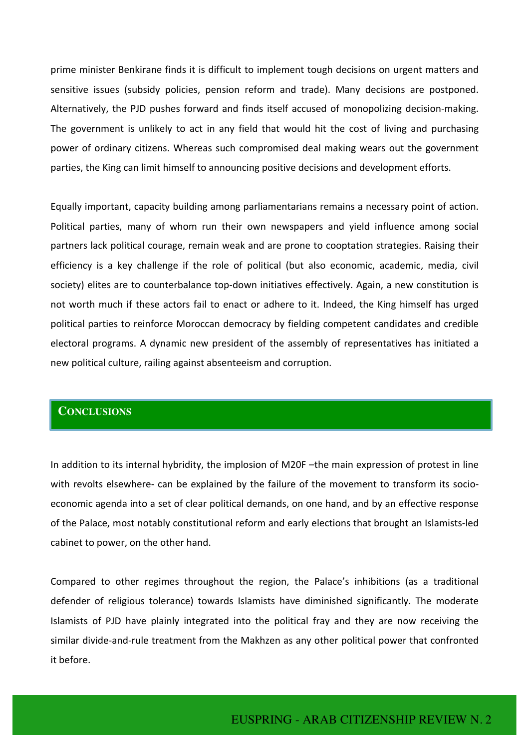prime minister Benkirane finds it is difficult to implement tough decisions on urgent matters and sensitive issues (subsidy policies, pension reform and trade). Many decisions are postponed. Alternatively, the PJD pushes forward and finds itself accused of monopolizing decision-making. The government is unlikely to act in any field that would hit the cost of living and purchasing power of ordinary citizens. Whereas such compromised deal making wears out the government parties, the King can limit himself to announcing positive decisions and development efforts.

Equally important, capacity building among parliamentarians remains a necessary point of action. Political parties, many of whom run their own newspapers and yield influence among social partners lack political courage, remain weak and are prone to cooptation strategies. Raising their efficiency is a key challenge if the role of political (but also economic, academic, media, civil society) elites are to counterbalance top-down initiatives effectively. Again, a new constitution is not worth much if these actors fail to enact or adhere to it. Indeed, the King himself has urged political parties to reinforce Moroccan democracy by fielding competent candidates and credible electoral programs. A dynamic new president of the assembly of representatives has initiated a new political culture, railing against absenteeism and corruption.

#### **CONCLUSIONS**

In addition to its internal hybridity, the implosion of M20F -the main expression of protest in line with revolts elsewhere- can be explained by the failure of the movement to transform its socioeconomic agenda into a set of clear political demands, on one hand, and by an effective response of the Palace, most notably constitutional reform and early elections that brought an Islamists-led cabinet to power, on the other hand.

Compared to other regimes throughout the region, the Palace's inhibitions (as a traditional defender of religious tolerance) towards Islamists have diminished significantly. The moderate Islamists of PJD have plainly integrated into the political fray and they are now receiving the similar divide-and-rule treatment from the Makhzen as any other political power that confronted it before.